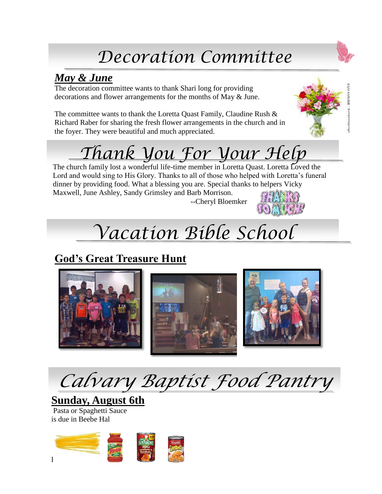### *Decoration Committee*

#### *May & June*

The decoration committee wants to thank Shari long for providing decorations and flower arrangements for the months of May & June.

The committee wants to thank the Loretta Quast Family, Claudine Rush & Richard Raber for sharing the fresh flower arrangements in the church and in the foyer. They were beautiful and much appreciated.



## *Thank You For Your Help*

The church family lost a wonderful life-time member in Loretta Quast. Loretta Loved the Lord and would sing to His Glory. Thanks to all of those who helped with Loretta's funeral dinner by providing food. What a blessing you are. Special thanks to helpers Vicky Maxwell, June Ashley, Sandy Grimsley and Barb Morrison.

--Cheryl Bloemker



# *Vacation Bible School*

### **God's Great Treasure Hunt**



*Calvary Baptist Food Pantry*

**Sunday, August 6th** 

Pasta or Spaghetti Sauce is due in Beebe Hal